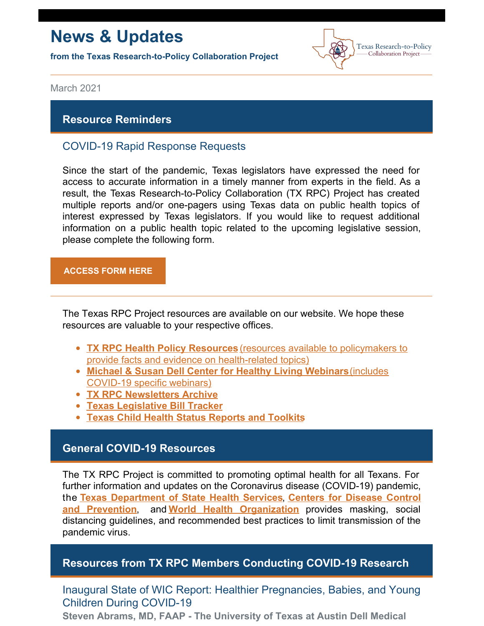# **News & Updates**

**from the Texas Research-to-Policy Collaboration Project**



March 2021

### **Resource Reminders**

## COVID-19 Rapid Response Requests

Since the start of the pandemic, Texas legislators have expressed the need for access to accurate information in a timely manner from experts in the field. As a result, the Texas Research-to-Policy Collaboration (TX RPC) Project has created multiple reports and/or one-pagers using Texas data on public health topics of interest expressed by Texas legislators. If you would like to request additional information on a public health topic related to the upcoming legislative session, please complete the following form.

#### **[ACCESS](https://docs.google.com/forms/u/2/d/1Wugxw_5Z2snWP5rEmX4N88dLKRnqrsAPYug_bCWMdCo/viewform?edit_requested=true) FORM HERE**

The Texas RPC Project resources are available on our website. We hope these resources are valuable to your respective offices.

- **TX RPC Health Policy [Resources](https://sph.uth.edu/research/centers/dell/legislative-initiatives/texas-rpc-resources)** (resources available to policymakers to provide facts and evidence on [health-related](https://sph.uth.edu/research/centers/dell/legislative-initiatives/texas-rpc-resources) topics)
- **Michael & Susan Dell Center for Healthy Living [Webinars](https://sph.uth.edu/research/centers/dell/webinars/)**(includes [COVID-19](https://sph.uth.edu/research/centers/dell/webinars/) specific webinars)
- **TX RPC [Newsletters](https://sph.uth.edu/research/centers/dell/legislative-initiatives/rpc-newsletters) Archive**
- **Texas [Legislative](https://sph.uth.edu/research/centers/dell/87th-texas-legislative-session/index.htm) Bill Tracker**
- **Texas Child Health Status [Reports](https://sph.uth.edu/research/centers/dell/texas-child-health-status-report/index.htm) and Toolkits**

### **General COVID-19 Resources**

The TX RPC Project is committed to promoting optimal health for all Texans. For further information and updates on the Coronavirus disease (COVID-19) pandemic, the **Texas [Department](https://dshs.texas.gov/coronavirus/) of State Health Services**, **Centers for Disease Control and Prevention**, and **World Health [Organization](https://www.cdc.gov/coronavirus/2019-ncov/index.html)** provides masking, social distancing guidelines, and recommended best practices to limit transmission of the pandemic virus.

### **Resources from TX RPC Members Conducting COVID-19 Research**

Inaugural State of WIC Report: Healthier Pregnancies, Babies, and Young Children During COVID-19

**Steven Abrams, MD, FAAP - The University of Texas at Austin Dell Medical**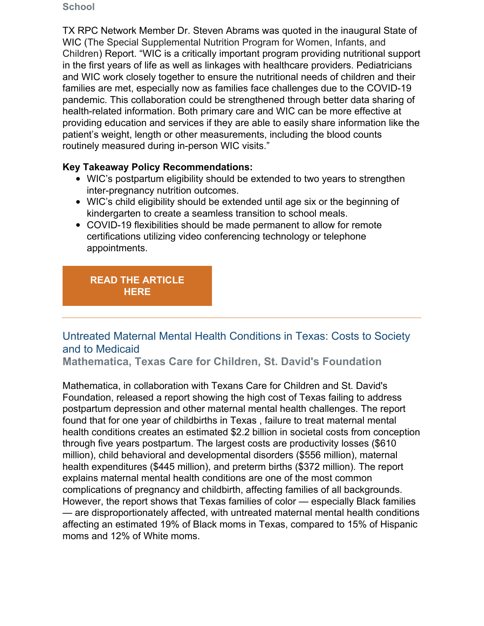#### **School**

TX RPC Network Member Dr. Steven Abrams was quoted in the inaugural State of WIC (The Special Supplemental Nutrition Program for Women, Infants, and Children) Report. "WIC is a critically important program providing nutritional support in the first years of life as well as linkages with healthcare providers. Pediatricians and WIC work closely together to ensure the nutritional needs of children and their families are met, especially now as families face challenges due to the COVID-19 pandemic. This collaboration could be strengthened through better data sharing of health-related information. Both primary care and WIC can be more effective at providing education and services if they are able to easily share information like the patient's weight, length or other measurements, including the blood counts routinely measured during in-person WIC visits."

### **Key Takeaway Policy Recommendations:**

- WIC's postpartum eligibility should be extended to two years to strengthen inter-pregnancy nutrition outcomes.
- WIC's child eligibility should be extended until age six or the beginning of kindergarten to create a seamless transition to school meals.
- COVID-19 flexibilities should be made permanent to allow for remote certifications utilizing video conferencing technology or telephone appointments.

## **READ THE [ARTICLE](https://s3.amazonaws.com/aws.upl/nwica.org/nwica-21-v01r08-2.pdf) HERE**

# Untreated Maternal Mental Health Conditions in Texas: Costs to Society and to Medicaid

**Mathematica, Texas Care for Children, St. David's Foundation**

Mathematica, in collaboration with Texans Care for Children and St. David's Foundation, released a report showing the high cost of Texas failing to address postpartum depression and other maternal mental health challenges. The report found that for one year of childbirths in Texas , failure to treat maternal mental health conditions creates an estimated \$2.2 billion in societal costs from conception through five years postpartum. The largest costs are productivity losses (\$610 million), child behavioral and developmental disorders (\$556 million), maternal health expenditures (\$445 million), and preterm births (\$372 million). The report explains maternal mental health conditions are one of the most common complications of pregnancy and childbirth, affecting families of all backgrounds. However, the report shows that Texas families of color — especially Black families — are disproportionately affected, with untreated maternal mental health conditions affecting an estimated 19% of Black moms in Texas, compared to 15% of Hispanic moms and 12% of White moms.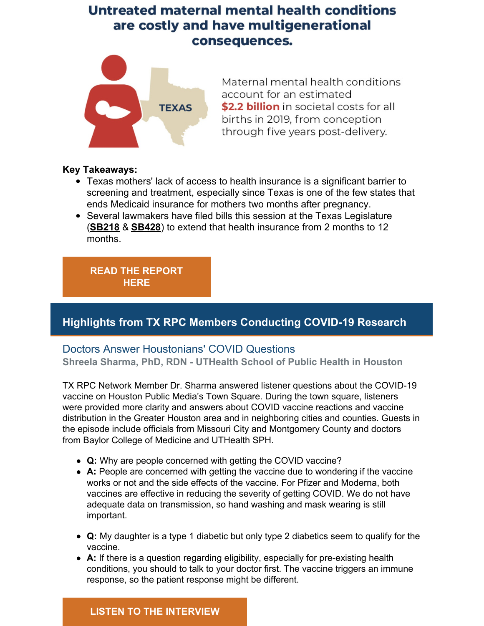# Untreated maternal mental health conditions are costly and have multigenerational consequences.



Maternal mental health conditions account for an estimated \$2.2 billion in societal costs for all births in 2019, from conception through five years post-delivery.

#### **Key Takeaways:**

- Texas mothers' lack of access to health insurance is a significant barrier to screening and treatment, especially since Texas is one of the few states that ends Medicaid insurance for mothers two months after pregnancy.
- Several lawmakers have filed bills this session at the Texas Legislature (**[SB218](https://capitol.texas.gov/BillLookup/History.aspx?LegSess=87R&Bill=SB218)** & **[SB428](https://capitol.texas.gov/BillLookup/history.aspx?LegSess=87R&Bill=SB428)**) to extend that health insurance from 2 months to 12 months.

**READ THE [REPORT](https://txchildren.org/posts/2021/3/3/report-untreated-maternal-mental-health-conditions-cost-texas-over-2-billion) HERE**

# **Highlights from TX RPC Members Conducting COVID-19 Research**

## Doctors Answer Houstonians' COVID Questions

**Shreela Sharma, PhD, RDN - UTHealth School of Public Health in Houston**

TX RPC Network Member Dr. Sharma answered listener questions about the COVID-19 vaccine on Houston Public Media's Town Square. During the town square, listeners were provided more clarity and answers about COVID vaccine reactions and vaccine distribution in the Greater Houston area and in neighboring cities and counties. Guests in the episode include officials from Missouri City and Montgomery County and doctors from Baylor College of Medicine and UTHealth SPH.

- **Q:** Why are people concerned with getting the COVID vaccine?
- **A:** People are concerned with getting the vaccine due to wondering if the vaccine works or not and the side effects of the vaccine. For Pfizer and Moderna, both vaccines are effective in reducing the severity of getting COVID. We do not have adequate data on transmission, so hand washing and mask wearing is still important.
- **Q:** My daughter is a type 1 diabetic but only type 2 diabetics seem to qualify for the vaccine.
- **A:** If there is a question regarding eligibility, especially for pre-existing health conditions, you should to talk to your doctor first. The vaccine triggers an immune response, so the patient response might be different.

### **LISTEN TO THE [INTERVIEW](https://www.houstonpublicmedia.org/articles/shows/town-square/2021/02/04/390783/a-new-vaccine-hub-is-open-in-missouri-city-plus-doctors-answer-houstonians-covid-questions/?utm_source=rss-town-square-article&utm_medium=link&utm_campaign=hpm-rss-link)**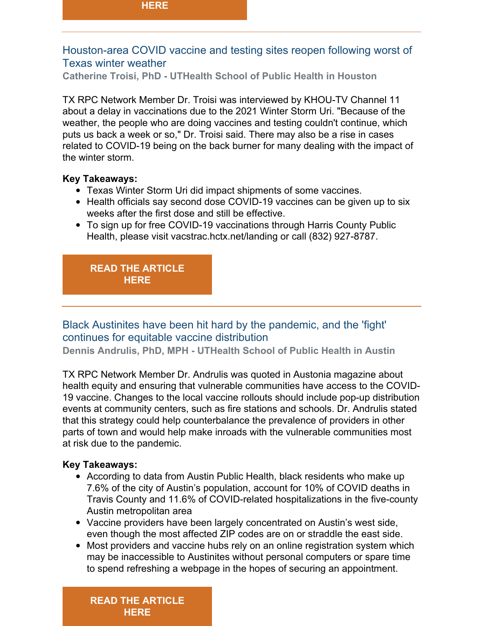# Houston-area COVID vaccine and testing sites reopen following worst of Texas winter weather

**Catherine Troisi, PhD - UTHealth School of Public Health in Houston**

TX RPC Network Member Dr. Troisi was interviewed by KHOU-TV Channel 11 about a delay in vaccinations due to the 2021 Winter Storm Uri. "Because of the weather, the people who are doing vaccines and testing couldn't continue, which puts us back a week or so," Dr. Troisi said. There may also be a rise in cases related to COVID-19 being on the back burner for many dealing with the impact of the winter storm.

#### **Key Takeaways:**

- Texas Winter Storm Uri did impact shipments of some vaccines.
- Health officials say second dose COVID-19 vaccines can be given up to six weeks after the first dose and still be effective.
- To sign up for free COVID-19 vaccinations through Harris County Public Health, please visit vacstrac.hctx.net/landing or call (832) 927-8787.

#### **READ THE [ARTICLE](https://www.khou.com/article/news/health/coronavirus/vaccine/covid-vaccine-testing-sites-reopen-in-houston-texas/285-5f2feca7-4302-4ca6-8c28-aca0fd79cd00) HERE**

# Black Austinites have been hit hard by the pandemic, and the 'fight' continues for equitable vaccine distribution

**Dennis Andrulis, PhD, MPH - UTHealth School of Public Health in Austin**

TX RPC Network Member Dr. Andrulis was quoted in Austonia magazine about health equity and ensuring that vulnerable communities have access to the COVID-19 vaccine. Changes to the local vaccine rollouts should include pop-up distribution events at community centers, such as fire stations and schools. Dr. Andrulis stated that this strategy could help counterbalance the prevalence of providers in other parts of town and would help make inroads with the vulnerable communities most at risk due to the pandemic.

#### **Key Takeaways:**

- According to data from Austin Public Health, black residents who make up 7.6% of the city of Austin's population, account for 10% of COVID deaths in Travis County and 11.6% of COVID-related hospitalizations in the five-county Austin metropolitan area
- Vaccine providers have been largely concentrated on Austin's west side, even though the most affected ZIP codes are on or straddle the east side.
- Most providers and vaccine hubs rely on an online registration system which may be inaccessible to Austinites without personal computers or spare time to spend refreshing a webpage in the hopes of securing an appointment.

**READ THE [ARTICLE](https://austonia.com/inequities-in-austin-vaccine) HERE**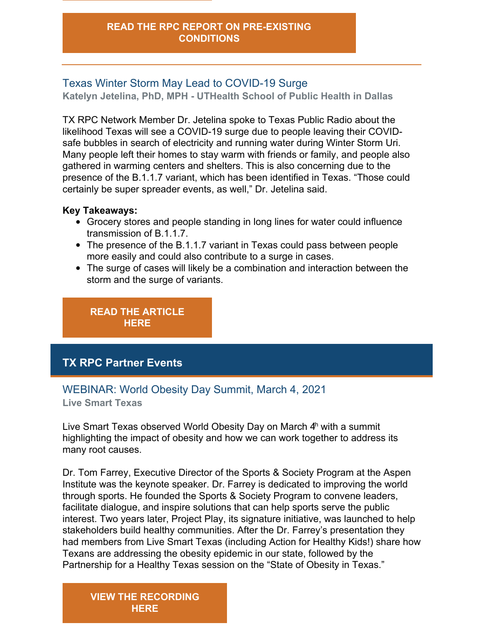# Texas Winter Storm May Lead to COVID-19 Surge

**Katelyn Jetelina, PhD, MPH - UTHealth School of Public Health in Dallas**

TX RPC Network Member Dr. Jetelina spoke to Texas Public Radio about the likelihood Texas will see a COVID-19 surge due to people leaving their COVIDsafe bubbles in search of electricity and running water during Winter Storm Uri. Many people left their homes to stay warm with friends or family, and people also gathered in warming centers and shelters. This is also concerning due to the presence of the B.1.1.7 variant, which has been identified in Texas. "Those could certainly be super spreader events, as well," Dr. Jetelina said.

#### **Key Takeaways:**

- Grocery stores and people standing in long lines for water could influence transmission of B.1.1.7.
- The presence of the B.1.1.7 variant in Texas could pass between people more easily and could also contribute to a surge in cases.
- The surge of cases will likely be a combination and interaction between the storm and the surge of variants.

**READ THE [ARTICLE](https://www.tpr.org/bioscience-medicine/2021-02-22/texas-winter-storm-may-lead-to-covid-19-surge) HERE**

# **TX RPC Partner Events**

# WEBINAR: World Obesity Day Summit, March 4, 2021

**Live Smart Texas**

Live Smart Texas observed World Obesity Day on March 4<sup>h</sup> with a summit highlighting the impact of obesity and how we can work together to address its many root causes.

Dr. Tom Farrey, Executive Director of the Sports & Society Program at the Aspen Institute was the keynote speaker. Dr. Farrey is dedicated to improving the world through sports. He founded the Sports & Society Program to convene leaders, facilitate dialogue, and inspire solutions that can help sports serve the public interest. Two years later, Project Play, its signature initiative, was launched to help stakeholders build healthy communities. After the Dr. Farrey's presentation they had members from Live Smart Texas (including Action for Healthy Kids!) share how Texans are addressing the obesity epidemic in our state, followed by the Partnership for a Healthy Texas session on the "State of Obesity in Texas."

# **VIEW THE [RECORDING](https://sph.uth.edu/research/centers/dell/webinars/webinar.htm?id=281056fe-aa33-4aea-b4b9-36c40b9e7367) HERE**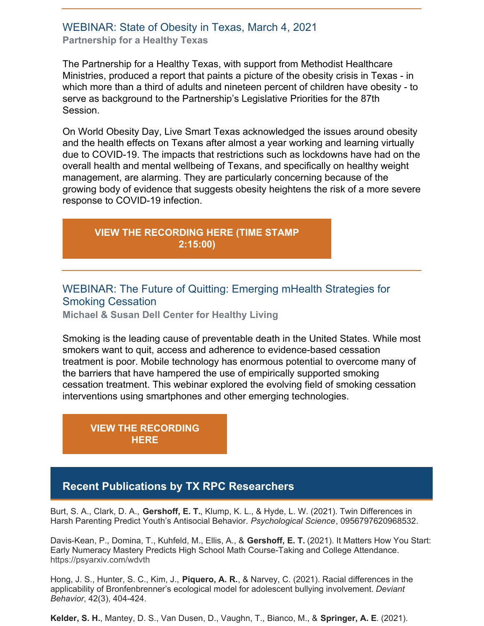### WEBINAR: State of Obesity in Texas, March 4, 2021 **Partnership for a Healthy Texas**

The Partnership for a Healthy Texas, with support from Methodist Healthcare Ministries, produced a report that paints a picture of the obesity crisis in Texas - in which more than a third of adults and nineteen percent of children have obesity - to serve as background to the Partnership's Legislative Priorities for the 87th Session.

On World Obesity Day, Live Smart Texas acknowledged the issues around obesity and the health effects on Texans after almost a year working and learning virtually due to COVID-19. The impacts that restrictions such as lockdowns have had on the overall health and mental wellbeing of Texans, and specifically on healthy weight management, are alarming. They are particularly concerning because of the growing body of evidence that suggests obesity heightens the risk of a more severe response to COVID-19 infection.

# **VIEW THE [RECORDING](https://sph.uth.edu/research/centers/dell/webinars/webinar.htm?id=281056fe-aa33-4aea-b4b9-36c40b9e7367) HERE (TIME STAMP 2:15:00)**

# WEBINAR: The Future of Quitting: Emerging mHealth Strategies for Smoking Cessation

**Michael & Susan Dell Center for Healthy Living**

Smoking is the leading cause of preventable death in the United States. While most smokers want to quit, access and adherence to evidence-based cessation treatment is poor. Mobile technology has enormous potential to overcome many of the barriers that have hampered the use of empirically supported smoking cessation treatment. This webinar explored the evolving field of smoking cessation interventions using smartphones and other emerging technologies.

**VIEW THE [RECORDING](https://sph.uth.edu/research/centers/dell/webinars/webinar.htm?id=5ca6d7f3-ba24-4467-b53c-383dde2b99c7) HERE**

# **Recent Publications by TX RPC Researchers**

Burt, S. A., Clark, D. A., **Gershoff, E. T.**, Klump, K. L., & Hyde, L. W. (2021). Twin Differences in Harsh Parenting Predict Youth's Antisocial Behavior. *Psychological Science*, 0956797620968532.

Davis-Kean, P., Domina, T., Kuhfeld, M., Ellis, A., & **Gershoff, E. T.** (2021). It Matters How You Start: Early Numeracy Mastery Predicts High School Math Course-Taking and College Attendance. https://psyarxiv.com/wdvth

Hong, J. S., Hunter, S. C., Kim, J., **Piquero, A. R.**, & Narvey, C. (2021). Racial differences in the applicability of Bronfenbrenner's ecological model for adolescent bullying involvement. *Deviant Behavior*, 42(3), 404-424.

**Kelder, S. H.**, Mantey, D. S., Van Dusen, D., Vaughn, T., Bianco, M., & **Springer, A. E**. (2021).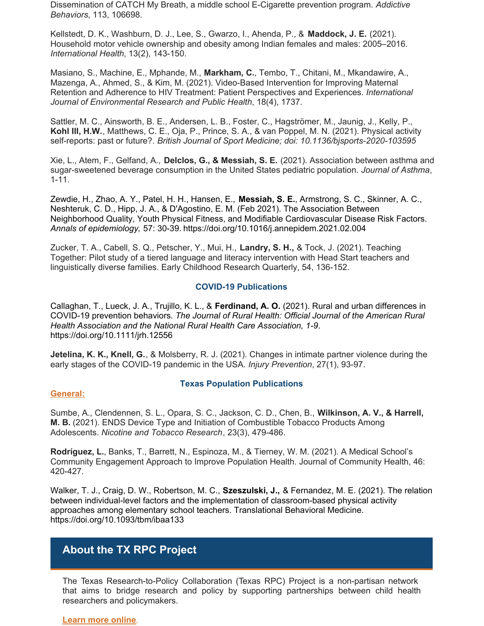Dissemination of CATCH My Breath, a middle school E-Cigarette prevention program. *Addictive Behaviors*, 113, 106698.

Kellstedt, D. K., Washburn, D. J., Lee, S., Gwarzo, I., Ahenda, P., & **Maddock, J. E.** (2021). Household motor vehicle ownership and obesity among Indian females and males: 2005–2016. *International Health*, 13(2), 143-150.

Masiano, S., Machine, E., Mphande, M., **Markham, C.**, Tembo, T., Chitani, M., Mkandawire, A., Mazenga, A., Ahmed, S., & Kim, M. (2021). Video-Based Intervention for Improving Maternal Retention and Adherence to HIV Treatment: Patient Perspectives and Experiences. *International Journal of Environmental Research and Public Health*, 18(4), 1737.

Sattler, M. C., Ainsworth, B. E., Andersen, L. B., Foster, C., Hagströmer, M., Jaunig, J., Kelly, P., **Kohl III, H.W.**, Matthews, C. E., Oja, P., Prince, S. A., & van Poppel, M. N. (2021). Physical activity self-reports: past or future?. *British Journal of Sport Medicine; doi: 10.1136/bjsports-2020-103595*

Xie, L., Atem, F., Gelfand, A., **Delclos, G., & Messiah, S. E.** (2021). Association between asthma and sugar-sweetened beverage consumption in the United States pediatric population. *Journal of Asthma*, 1-11.

Zewdie, H., Zhao, A. Y., Patel, H. H., Hansen, E., **Messiah, S. E.**, Armstrong, S. C., Skinner, A. C., Neshteruk, C. D., Hipp, J. A., & D'Agostino, E. M. (Feb 2021). The Association Between Neighborhood Quality, Youth Physical Fitness, and Modifiable Cardiovascular Disease Risk Factors. *Annals of epidemiology,* 57: 30-39. <https://doi.org/10.1016/j.annepidem.2021.02.004>

Zucker, T. A., Cabell, S. Q., Petscher, Y., Mui, H., **Landry, S. H.,** & Tock, J. (2021). Teaching Together: Pilot study of a tiered language and literacy intervention with Head Start teachers and linguistically diverse families. Early Childhood Research Quarterly, 54, 136-152.

#### **COVID-19 Publications**

Callaghan, T., Lueck, J. A., Trujillo, K. L., & **Ferdinand, A. O.** (2021). Rural and urban differences in COVID-19 prevention behaviors. *The Journal of Rural Health: Official Journal of the American Rural Health Association and the National Rural Health Care Association, 1-9*. <https://doi.org/10.1111/jrh.12556>

**Jetelina, K. K., Knell, G.**, & Molsberry, R. J. (2021). Changes in intimate partner violence during the early stages of the COVID-19 pandemic in the USA. *Injury Prevention*, 27(1), 93-97.

#### **General:**

#### **Texas Population Publications**

Sumbe, A., Clendennen, S. L., Opara, S. C., Jackson, C. D., Chen, B., **Wilkinson, A. V., & Harrell, M. B.** (2021). ENDS Device Type and Initiation of Combustible Tobacco Products Among Adolescents. *Nicotine and Tobacco Research*, 23(3), 479-486.

**Rodríguez, L.**, Banks, T., Barrett, N., Espinoza, M., & Tierney, W. M. (2021). A Medical School's Community Engagement Approach to Improve Population Health. Journal of Community Health, 46: 420-427.

Walker, T. J., Craig, D. W., Robertson, M. C., **Szeszulski, J.,** & Fernandez, M. E. (2021). The relation between individual-level factors and the implementation of classroom-based physical activity approaches among elementary school teachers. Translational Behavioral Medicine. <https://doi.org/10.1093/tbm/ibaa133>

## **About the TX RPC Project**

The Texas Research-to-Policy Collaboration (Texas RPC) Project is a non-partisan network that aims to bridge research and policy by supporting partnerships between child health researchers and policymakers.

#### **Learn more [online](https://sph.uth.edu/research/centers/dell/legislative-initiatives/research-to-policy-collaboration-project)**.